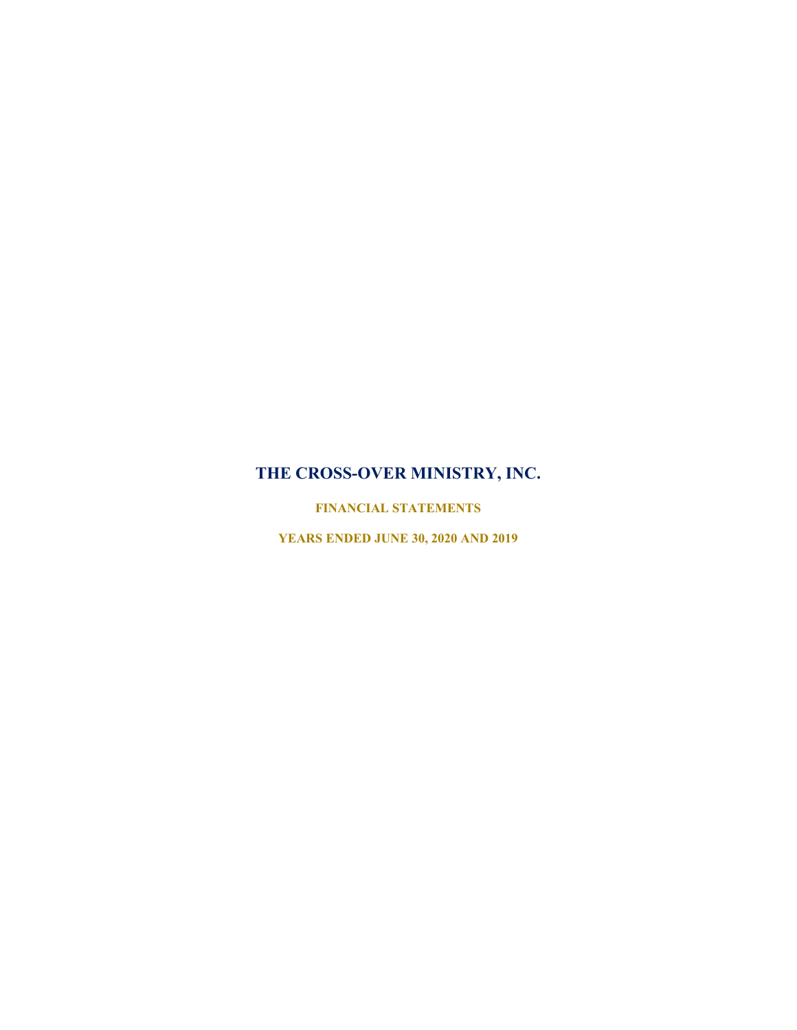**FINANCIAL STATEMENTS** 

**YEARS ENDED JUNE 30, 2020 AND 2019**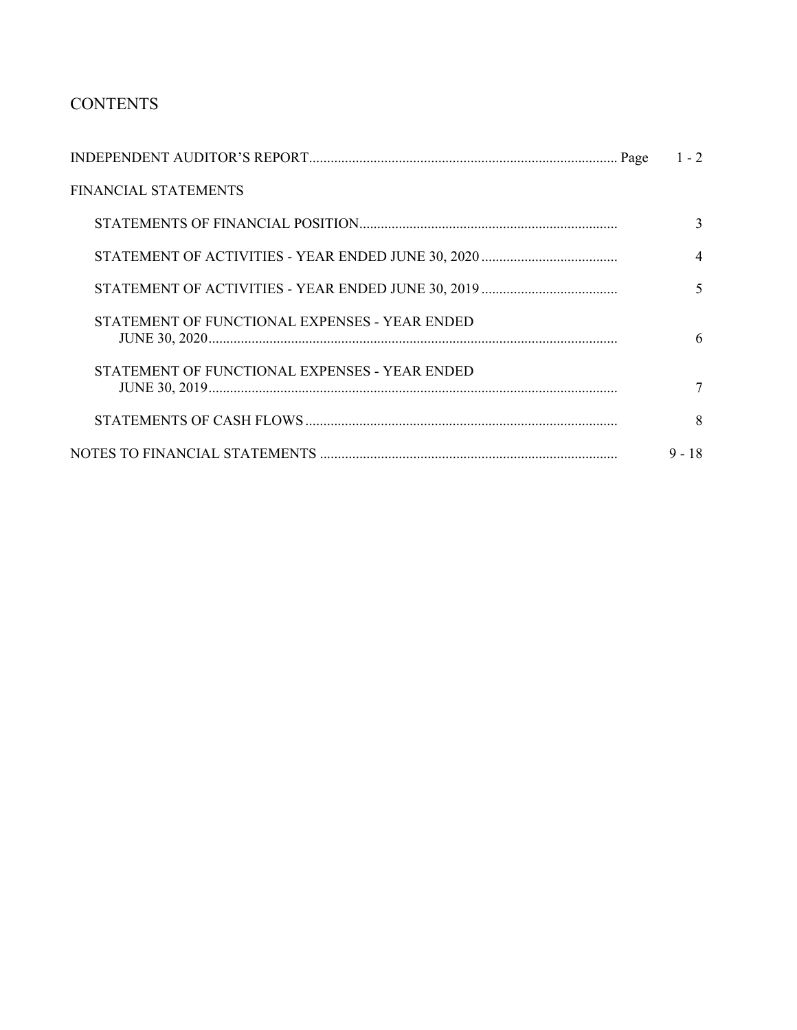# **CONTENTS**

|                                               | $1 - 2$  |
|-----------------------------------------------|----------|
| FINANCIAL STATEMENTS                          |          |
|                                               | 3        |
|                                               | 4        |
|                                               | 5        |
| STATEMENT OF FUNCTIONAL EXPENSES - YEAR ENDED | 6        |
| STATEMENT OF FUNCTIONAL EXPENSES - YEAR ENDED |          |
|                                               | 8        |
|                                               | $9 - 18$ |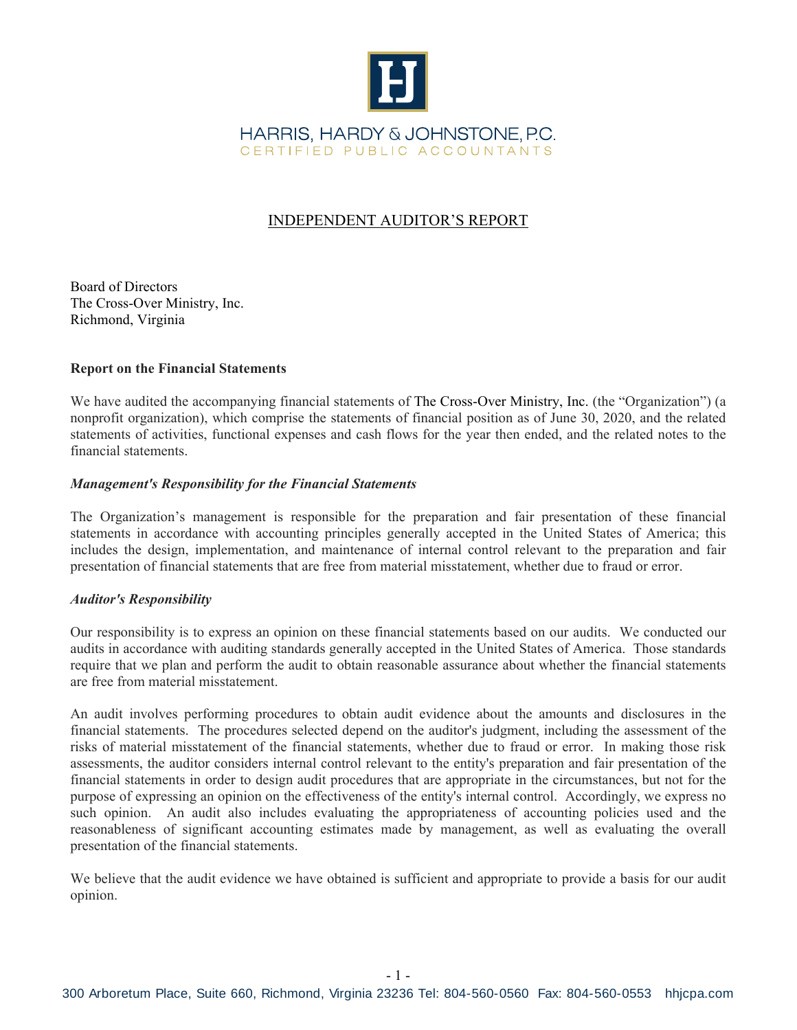

### INDEPENDENT AUDITOR'S REPORT

Board of Directors The Cross-Over Ministry, Inc. Richmond, Virginia

#### **Report on the Financial Statements**

We have audited the accompanying financial statements of The Cross-Over Ministry, Inc. (the "Organization") (a nonprofit organization), which comprise the statements of financial position as of June 30, 2020, and the related statements of activities, functional expenses and cash flows for the year then ended, and the related notes to the financial statements.

#### *Management's Responsibility for the Financial Statements*

The Organization's management is responsible for the preparation and fair presentation of these financial statements in accordance with accounting principles generally accepted in the United States of America; this includes the design, implementation, and maintenance of internal control relevant to the preparation and fair presentation of financial statements that are free from material misstatement, whether due to fraud or error.

#### *Auditor's Responsibility*

Our responsibility is to express an opinion on these financial statements based on our audits. We conducted our audits in accordance with auditing standards generally accepted in the United States of America. Those standards require that we plan and perform the audit to obtain reasonable assurance about whether the financial statements are free from material misstatement.

An audit involves performing procedures to obtain audit evidence about the amounts and disclosures in the financial statements. The procedures selected depend on the auditor's judgment, including the assessment of the risks of material misstatement of the financial statements, whether due to fraud or error. In making those risk assessments, the auditor considers internal control relevant to the entity's preparation and fair presentation of the financial statements in order to design audit procedures that are appropriate in the circumstances, but not for the purpose of expressing an opinion on the effectiveness of the entity's internal control. Accordingly, we express no such opinion. An audit also includes evaluating the appropriateness of accounting policies used and the reasonableness of significant accounting estimates made by management, as well as evaluating the overall presentation of the financial statements.

We believe that the audit evidence we have obtained is sufficient and appropriate to provide a basis for our audit opinion.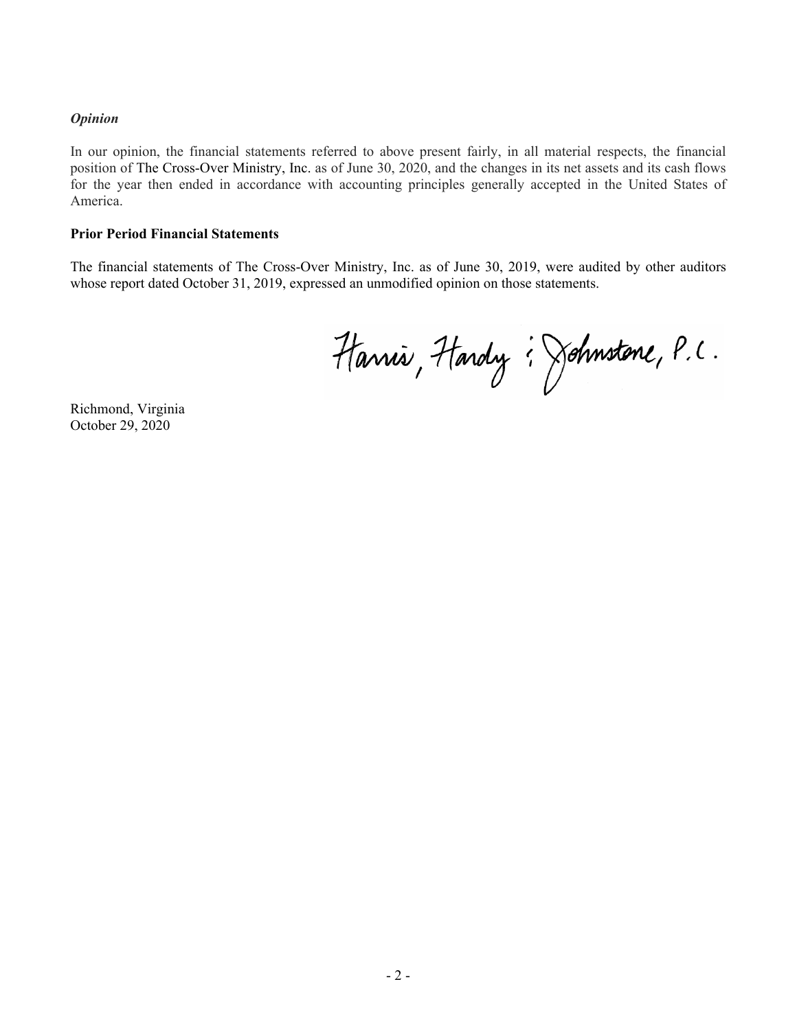### *Opinion*

In our opinion, the financial statements referred to above present fairly, in all material respects, the financial position of The Cross-Over Ministry, Inc. as of June 30, 2020, and the changes in its net assets and its cash flows for the year then ended in accordance with accounting principles generally accepted in the United States of America.

### **Prior Period Financial Statements**

The financial statements of The Cross-Over Ministry, Inc. as of June 30, 2019, were audited by other auditors whose report dated October 31, 2019, expressed an unmodified opinion on those statements.

Harris, Hardy ; Johnstone, P.C.

Richmond, Virginia October 29, 2020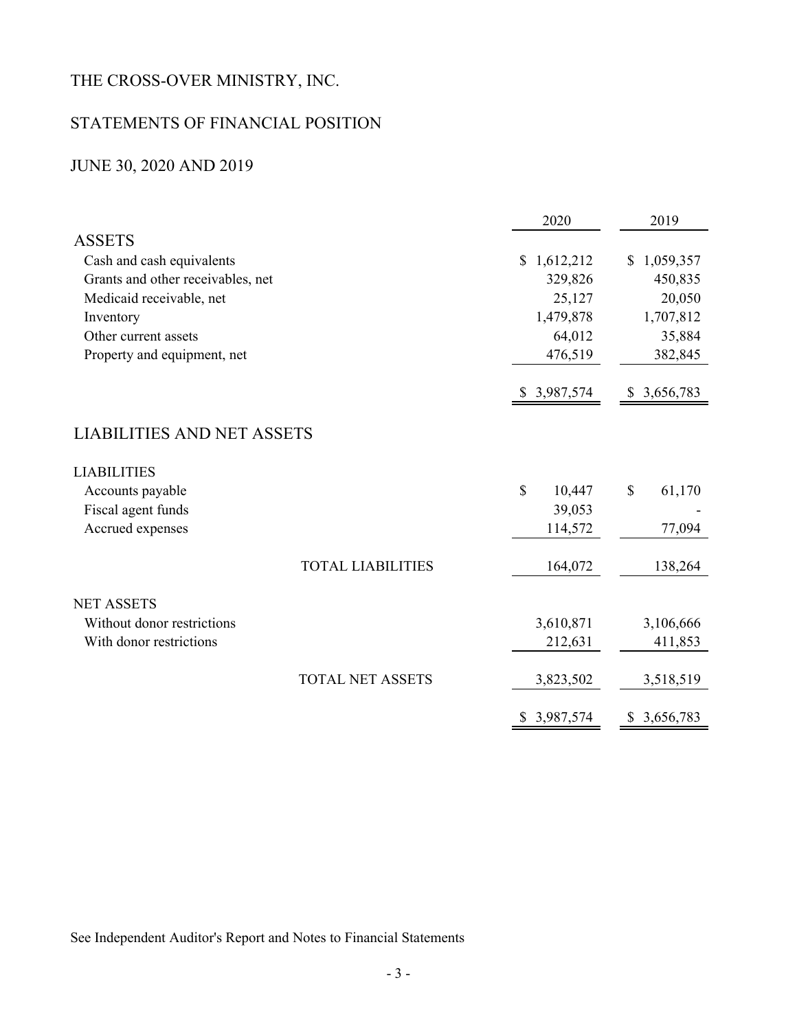## STATEMENTS OF FINANCIAL POSITION

## JUNE 30, 2020 AND 2019

|                                   |                          | 2020         | 2019         |
|-----------------------------------|--------------------------|--------------|--------------|
| <b>ASSETS</b>                     |                          |              |              |
| Cash and cash equivalents         |                          | \$1,612,212  | \$1,059,357  |
| Grants and other receivables, net |                          | 329,826      | 450,835      |
| Medicaid receivable, net          |                          | 25,127       | 20,050       |
| Inventory                         |                          | 1,479,878    | 1,707,812    |
| Other current assets              |                          | 64,012       | 35,884       |
| Property and equipment, net       |                          | 476,519      | 382,845      |
|                                   |                          | \$3,987,574  | \$3,656,783  |
| <b>LIABILITIES AND NET ASSETS</b> |                          |              |              |
| <b>LIABILITIES</b>                |                          |              |              |
| Accounts payable                  |                          | \$<br>10,447 | \$<br>61,170 |
| Fiscal agent funds                |                          | 39,053       |              |
| Accrued expenses                  |                          | 114,572      | 77,094       |
|                                   | <b>TOTAL LIABILITIES</b> | 164,072      | 138,264      |
|                                   |                          |              |              |
| <b>NET ASSETS</b>                 |                          |              |              |
| Without donor restrictions        |                          | 3,610,871    | 3,106,666    |
| With donor restrictions           |                          | 212,631      | 411,853      |
|                                   | <b>TOTAL NET ASSETS</b>  | 3,823,502    | 3,518,519    |
|                                   |                          | \$3,987,574  | \$3,656,783  |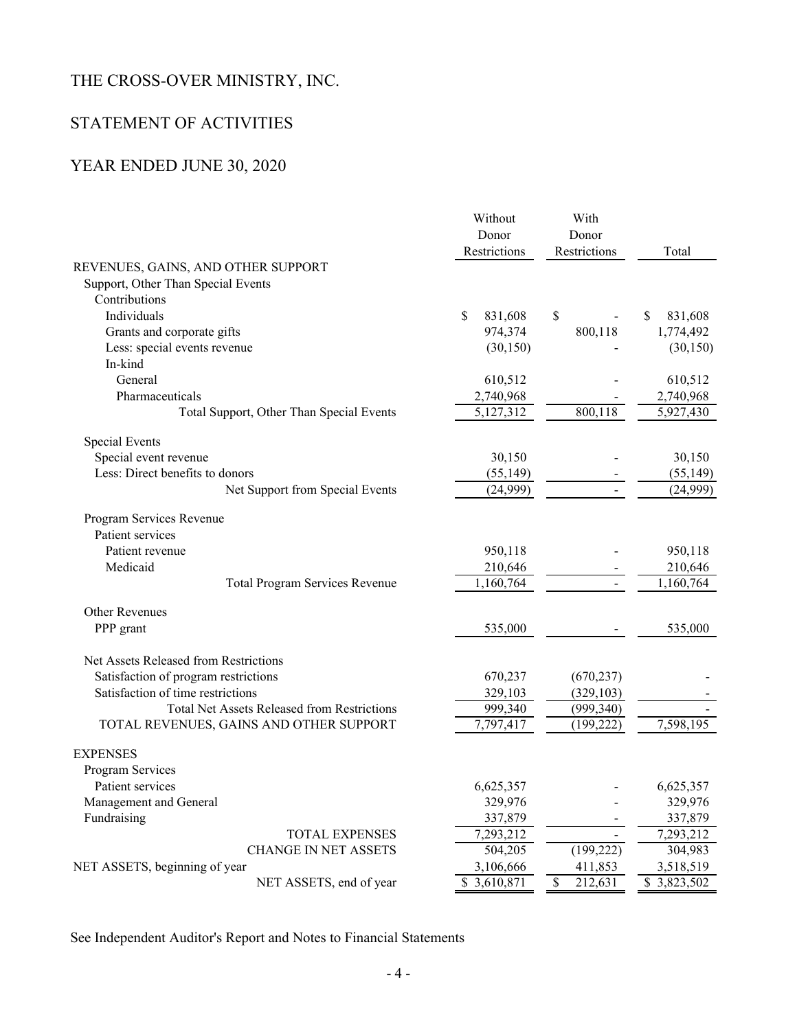## STATEMENT OF ACTIVITIES

## YEAR ENDED JUNE 30, 2020

|                                                    | Without<br>Donor<br>Restrictions | With<br>Donor<br>Restrictions | Total        |
|----------------------------------------------------|----------------------------------|-------------------------------|--------------|
| REVENUES, GAINS, AND OTHER SUPPORT                 |                                  |                               |              |
| Support, Other Than Special Events                 |                                  |                               |              |
| Contributions                                      |                                  |                               |              |
| Individuals                                        | \$<br>831,608                    | \$                            | S<br>831,608 |
| Grants and corporate gifts                         | 974,374                          | 800,118                       | 1,774,492    |
| Less: special events revenue                       | (30, 150)                        |                               | (30, 150)    |
| In-kind                                            |                                  |                               |              |
| General                                            | 610,512                          |                               | 610,512      |
| Pharmaceuticals                                    | 2,740,968                        |                               | 2,740,968    |
| Total Support, Other Than Special Events           | 5,127,312                        | 800,118                       | 5,927,430    |
| <b>Special Events</b>                              |                                  |                               |              |
| Special event revenue                              | 30,150                           |                               | 30,150       |
| Less: Direct benefits to donors                    | (55, 149)                        |                               | (55, 149)    |
| Net Support from Special Events                    | (24,999)                         |                               | (24,999)     |
| Program Services Revenue                           |                                  |                               |              |
| Patient services                                   |                                  |                               |              |
| Patient revenue                                    | 950,118                          |                               | 950,118      |
| Medicaid                                           | 210,646                          |                               | 210,646      |
| Total Program Services Revenue                     | 1,160,764                        |                               | 1,160,764    |
| Other Revenues                                     |                                  |                               |              |
| PPP grant                                          | 535,000                          |                               | 535,000      |
| Net Assets Released from Restrictions              |                                  |                               |              |
| Satisfaction of program restrictions               | 670,237                          | (670, 237)                    |              |
| Satisfaction of time restrictions                  | 329,103                          | (329, 103)                    |              |
| <b>Total Net Assets Released from Restrictions</b> | 999,340                          | (999, 340)                    |              |
| TOTAL REVENUES, GAINS AND OTHER SUPPORT            | 7,797,417                        | (199, 222)                    | 7,598,195    |
| <b>EXPENSES</b>                                    |                                  |                               |              |
| Program Services                                   |                                  |                               |              |
| Patient services                                   | 6,625,357                        |                               | 6,625,357    |
| Management and General                             | 329,976                          |                               | 329,976      |
| Fundraising                                        | 337,879                          |                               | 337,879      |
| TOTAL EXPENSES                                     | 7,293,212                        |                               | 7,293,212    |
| <b>CHANGE IN NET ASSETS</b>                        | 504,205                          | (199, 222)                    | 304,983      |
| NET ASSETS, beginning of year                      | 3,106,666                        | 411,853                       | 3,518,519    |
| NET ASSETS, end of year                            | \$ 3,610,871                     | \$<br>212,631                 | \$3,823,502  |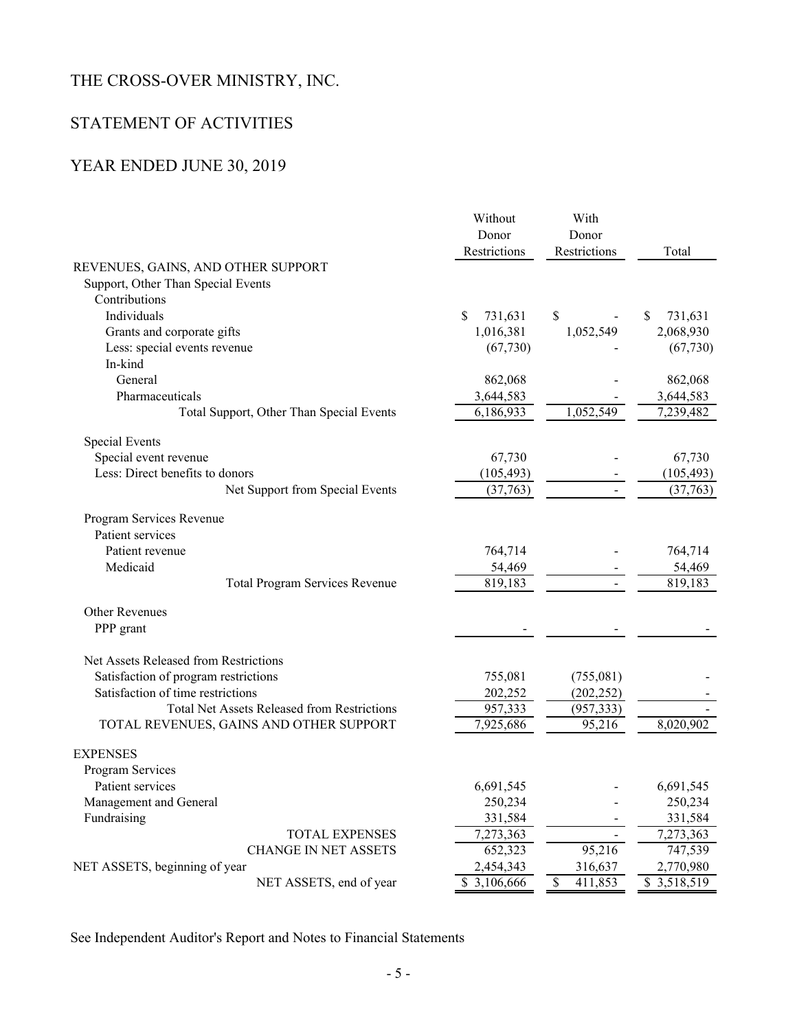## STATEMENT OF ACTIVITIES

## YEAR ENDED JUNE 30, 2019

|                                                    | Without       | With          |              |
|----------------------------------------------------|---------------|---------------|--------------|
|                                                    | Donor         | Donor         |              |
|                                                    | Restrictions  | Restrictions  | Total        |
| REVENUES, GAINS, AND OTHER SUPPORT                 |               |               |              |
| Support, Other Than Special Events                 |               |               |              |
| Contributions                                      |               |               |              |
| Individuals                                        | 731,631<br>\$ | \$            | S<br>731,631 |
| Grants and corporate gifts                         | 1,016,381     | 1,052,549     | 2,068,930    |
| Less: special events revenue                       | (67, 730)     |               | (67, 730)    |
| In-kind                                            |               |               |              |
| General                                            | 862,068       |               | 862,068      |
| Pharmaceuticals                                    | 3,644,583     |               | 3,644,583    |
| Total Support, Other Than Special Events           | 6,186,933     | 1,052,549     | 7,239,482    |
| <b>Special Events</b>                              |               |               |              |
| Special event revenue                              | 67,730        |               | 67,730       |
| Less: Direct benefits to donors                    | (105, 493)    |               | (105, 493)   |
| Net Support from Special Events                    | (37,763)      |               | (37,763)     |
| Program Services Revenue                           |               |               |              |
| Patient services                                   |               |               |              |
| Patient revenue                                    | 764,714       |               | 764,714      |
| Medicaid                                           | 54,469        |               | 54,469       |
| <b>Total Program Services Revenue</b>              | 819,183       |               | 819,183      |
| Other Revenues                                     |               |               |              |
| PPP grant                                          |               |               |              |
| Net Assets Released from Restrictions              |               |               |              |
| Satisfaction of program restrictions               | 755,081       | (755,081)     |              |
| Satisfaction of time restrictions                  | 202,252       | (202, 252)    |              |
| <b>Total Net Assets Released from Restrictions</b> | 957,333       | (957, 333)    |              |
| TOTAL REVENUES, GAINS AND OTHER SUPPORT            | 7,925,686     | 95,216        | 8,020,902    |
| <b>EXPENSES</b>                                    |               |               |              |
| Program Services                                   |               |               |              |
| Patient services                                   | 6,691,545     |               | 6,691,545    |
| Management and General                             | 250,234       |               | 250,234      |
| Fundraising                                        | 331,584       |               | 331,584      |
| <b>TOTAL EXPENSES</b>                              | 7,273,363     |               | 7,273,363    |
| <b>CHANGE IN NET ASSETS</b>                        | 652,323       | 95,216        | 747,539      |
| NET ASSETS, beginning of year                      | 2,454,343     | 316,637       | 2,770,980    |
| NET ASSETS, end of year                            | \$3,106,666   | \$<br>411,853 | \$3,518,519  |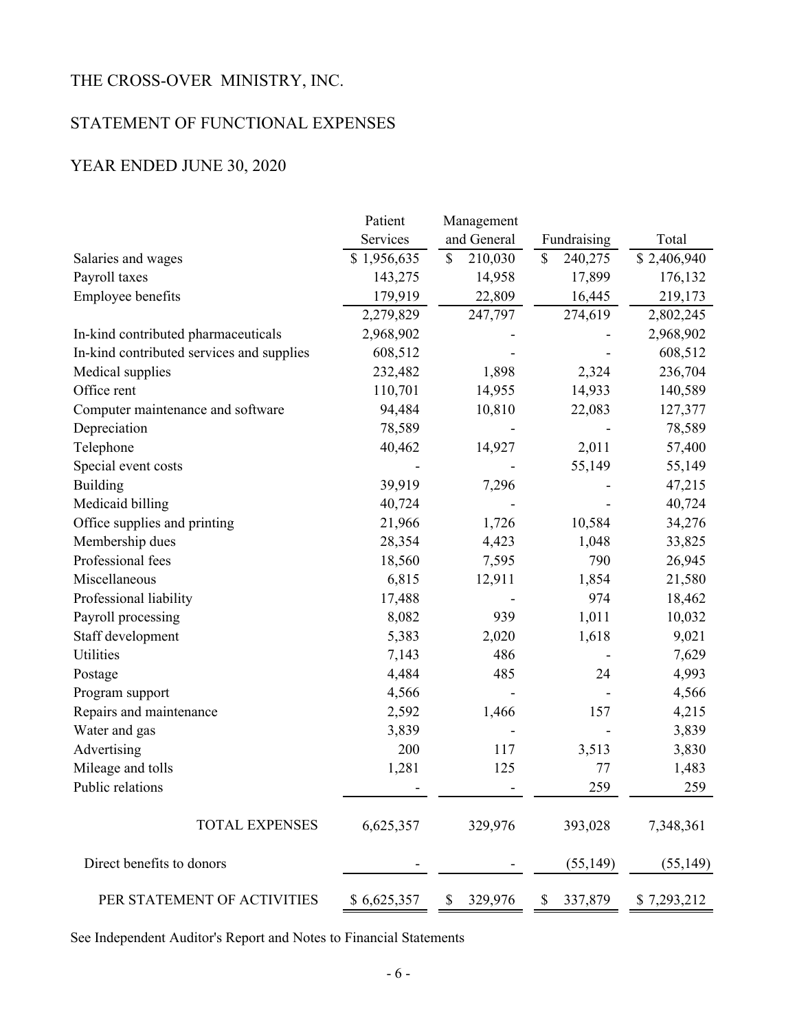## STATEMENT OF FUNCTIONAL EXPENSES

## YEAR ENDED JUNE 30, 2020

|                                           | Patient     | Management    |                         |             |
|-------------------------------------------|-------------|---------------|-------------------------|-------------|
|                                           | Services    | and General   | Fundraising             | Total       |
| Salaries and wages                        | \$1,956,635 | \$<br>210,030 | 240,275<br>$\mathbb{S}$ | \$2,406,940 |
| Payroll taxes                             | 143,275     | 14,958        | 17,899                  | 176,132     |
| <b>Employee benefits</b>                  | 179,919     | 22,809        | 16,445                  | 219,173     |
|                                           | 2,279,829   | 247,797       | 274,619                 | 2,802,245   |
| In-kind contributed pharmaceuticals       | 2,968,902   |               |                         | 2,968,902   |
| In-kind contributed services and supplies | 608,512     |               |                         | 608,512     |
| Medical supplies                          | 232,482     | 1,898         | 2,324                   | 236,704     |
| Office rent                               | 110,701     | 14,955        | 14,933                  | 140,589     |
| Computer maintenance and software         | 94,484      | 10,810        | 22,083                  | 127,377     |
| Depreciation                              | 78,589      |               |                         | 78,589      |
| Telephone                                 | 40,462      | 14,927        | 2,011                   | 57,400      |
| Special event costs                       |             |               | 55,149                  | 55,149      |
| Building                                  | 39,919      | 7,296         |                         | 47,215      |
| Medicaid billing                          | 40,724      |               |                         | 40,724      |
| Office supplies and printing              | 21,966      | 1,726         | 10,584                  | 34,276      |
| Membership dues                           | 28,354      | 4,423         | 1,048                   | 33,825      |
| Professional fees                         | 18,560      | 7,595         | 790                     | 26,945      |
| Miscellaneous                             | 6,815       | 12,911        | 1,854                   | 21,580      |
| Professional liability                    | 17,488      |               | 974                     | 18,462      |
| Payroll processing                        | 8,082       | 939           | 1,011                   | 10,032      |
| Staff development                         | 5,383       | 2,020         | 1,618                   | 9,021       |
| Utilities                                 | 7,143       | 486           |                         | 7,629       |
| Postage                                   | 4,484       | 485           | 24                      | 4,993       |
| Program support                           | 4,566       |               |                         | 4,566       |
| Repairs and maintenance                   | 2,592       | 1,466         | 157                     | 4,215       |
| Water and gas                             | 3,839       |               |                         | 3,839       |
| Advertising                               | 200         | 117           | 3,513                   | 3,830       |
| Mileage and tolls                         | 1,281       | 125           | 77                      | 1,483       |
| Public relations                          |             |               | 259                     | 259         |
| <b>TOTAL EXPENSES</b>                     | 6,625,357   | 329,976       | 393,028                 | 7,348,361   |
| Direct benefits to donors                 |             |               | (55,149)                | (55, 149)   |
| PER STATEMENT OF ACTIVITIES               | \$6,625,357 | 329,976<br>\$ | 337,879<br>\$           | \$7,293,212 |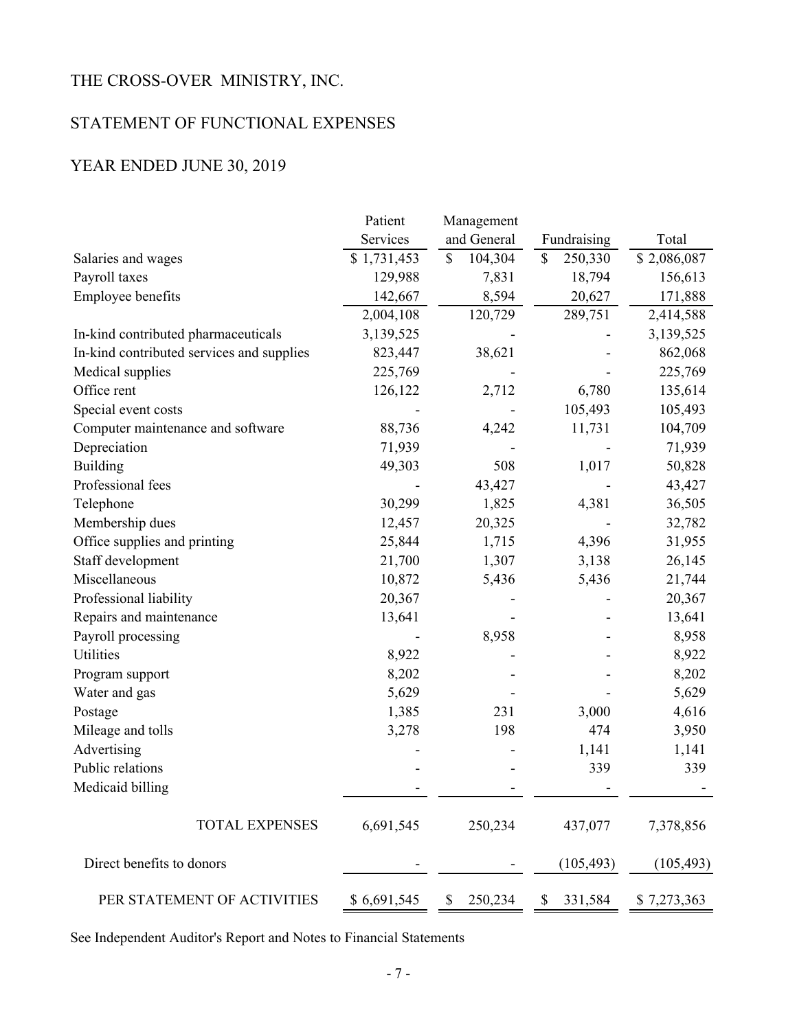## STATEMENT OF FUNCTIONAL EXPENSES

## YEAR ENDED JUNE 30, 2019

|                                           | Patient<br>Services | Management<br>and General | Fundraising   | Total       |
|-------------------------------------------|---------------------|---------------------------|---------------|-------------|
| Salaries and wages                        | \$1,731,453         | \$<br>104,304             | 250,330<br>\$ | \$2,086,087 |
| Payroll taxes                             | 129,988             | 7,831                     | 18,794        | 156,613     |
| Employee benefits                         | 142,667             | 8,594                     | 20,627        | 171,888     |
|                                           | 2,004,108           | 120,729                   | 289,751       | 2,414,588   |
| In-kind contributed pharmaceuticals       | 3,139,525           |                           |               | 3,139,525   |
| In-kind contributed services and supplies | 823,447             | 38,621                    |               | 862,068     |
| Medical supplies                          | 225,769             |                           |               | 225,769     |
| Office rent                               | 126,122             | 2,712                     | 6,780         | 135,614     |
| Special event costs                       |                     |                           | 105,493       | 105,493     |
| Computer maintenance and software         | 88,736              | 4,242                     | 11,731        | 104,709     |
| Depreciation                              | 71,939              |                           |               | 71,939      |
| Building                                  | 49,303              | 508                       | 1,017         | 50,828      |
| Professional fees                         |                     | 43,427                    |               | 43,427      |
| Telephone                                 | 30,299              | 1,825                     | 4,381         | 36,505      |
| Membership dues                           | 12,457              | 20,325                    |               | 32,782      |
| Office supplies and printing              | 25,844              | 1,715                     | 4,396         | 31,955      |
| Staff development                         | 21,700              | 1,307                     | 3,138         | 26,145      |
| Miscellaneous                             | 10,872              | 5,436                     | 5,436         | 21,744      |
| Professional liability                    | 20,367              |                           |               | 20,367      |
| Repairs and maintenance                   | 13,641              |                           |               | 13,641      |
| Payroll processing                        |                     | 8,958                     |               | 8,958       |
| Utilities                                 | 8,922               |                           |               | 8,922       |
| Program support                           | 8,202               |                           |               | 8,202       |
| Water and gas                             | 5,629               |                           |               | 5,629       |
| Postage                                   | 1,385               | 231                       | 3,000         | 4,616       |
| Mileage and tolls                         | 3,278               | 198                       | 474           | 3,950       |
| Advertising                               |                     |                           | 1,141         | 1,141       |
| Public relations                          |                     |                           | 339           | 339         |
| Medicaid billing                          |                     |                           |               |             |
| <b>TOTAL EXPENSES</b>                     | 6,691,545           | 250,234                   | 437,077       | 7,378,856   |
| Direct benefits to donors                 |                     |                           | (105, 493)    | (105, 493)  |
| PER STATEMENT OF ACTIVITIES               | \$6,691,545         | 250,234<br>\$             | 331,584<br>\$ | \$7,273,363 |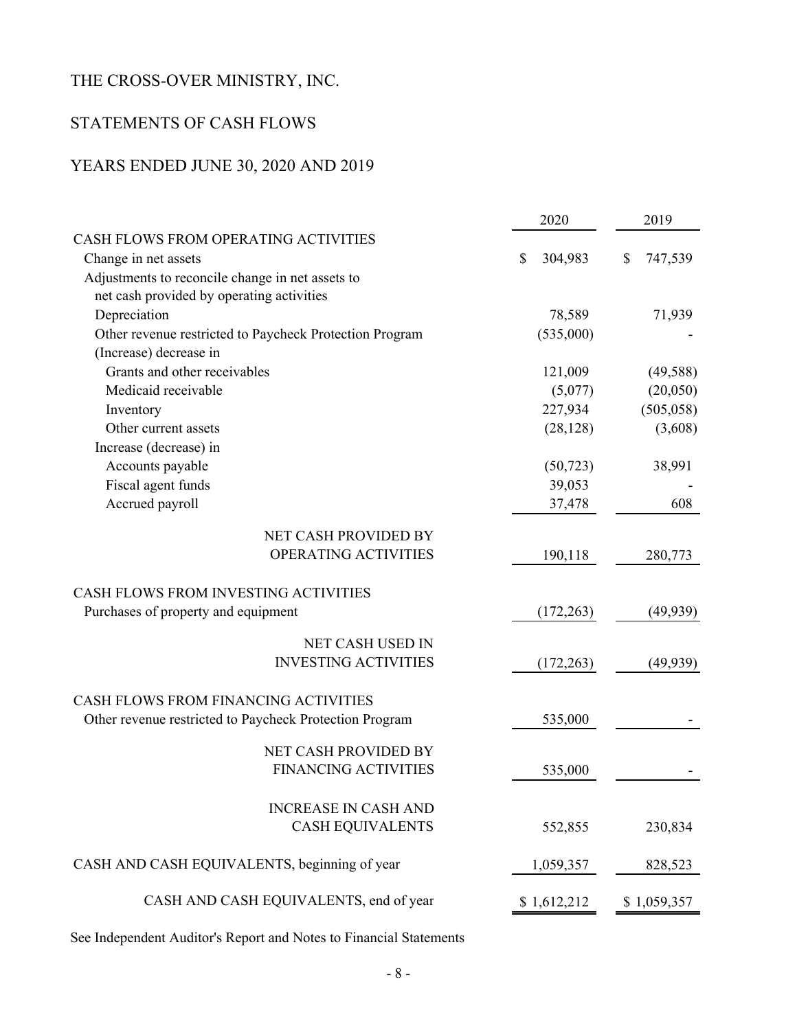## STATEMENTS OF CASH FLOWS

## YEARS ENDED JUNE 30, 2020 AND 2019

|                                                         | 2020          | 2019          |
|---------------------------------------------------------|---------------|---------------|
| CASH FLOWS FROM OPERATING ACTIVITIES                    |               |               |
| Change in net assets                                    | 304,983<br>\$ | \$<br>747,539 |
| Adjustments to reconcile change in net assets to        |               |               |
| net cash provided by operating activities               |               |               |
| Depreciation                                            | 78,589        | 71,939        |
| Other revenue restricted to Paycheck Protection Program | (535,000)     |               |
| (Increase) decrease in                                  |               |               |
| Grants and other receivables                            | 121,009       | (49, 588)     |
| Medicaid receivable                                     | (5,077)       | (20,050)      |
| Inventory                                               | 227,934       | (505, 058)    |
| Other current assets                                    | (28, 128)     | (3,608)       |
| Increase (decrease) in                                  |               |               |
| Accounts payable                                        | (50, 723)     | 38,991        |
| Fiscal agent funds                                      | 39,053        |               |
| Accrued payroll                                         | 37,478        | 608           |
| NET CASH PROVIDED BY                                    |               |               |
| OPERATING ACTIVITIES                                    | 190,118       | 280,773       |
| CASH FLOWS FROM INVESTING ACTIVITIES                    |               |               |
| Purchases of property and equipment                     | (172,263)     | (49, 939)     |
| NET CASH USED IN                                        |               |               |
| <b>INVESTING ACTIVITIES</b>                             | (172, 263)    | (49, 939)     |
| CASH FLOWS FROM FINANCING ACTIVITIES                    |               |               |
| Other revenue restricted to Paycheck Protection Program | 535,000       |               |
| NET CASH PROVIDED BY                                    |               |               |
| <b>FINANCING ACTIVITIES</b>                             | 535,000       |               |
| <b>INCREASE IN CASH AND</b>                             |               |               |
| <b>CASH EQUIVALENTS</b>                                 | 552,855       | 230,834       |
|                                                         |               |               |
| CASH AND CASH EQUIVALENTS, beginning of year            | 1,059,357     | 828,523       |
| CASH AND CASH EQUIVALENTS, end of year                  | \$1,612,212   | \$1,059,357   |
|                                                         |               |               |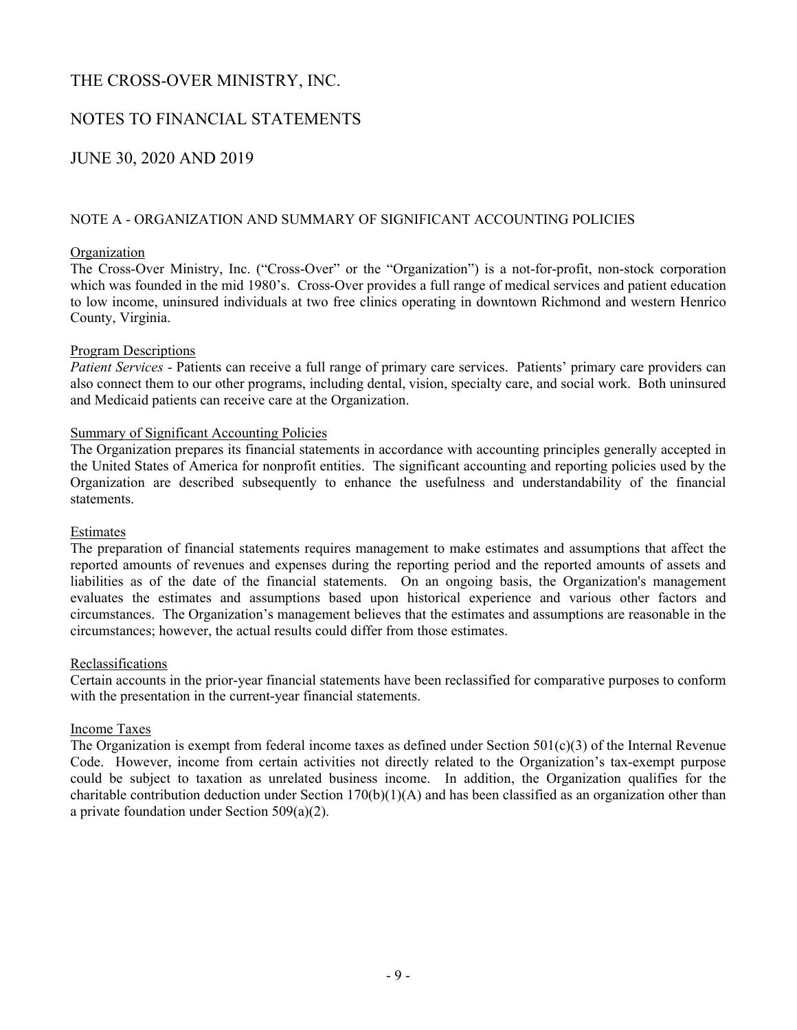### NOTES TO FINANCIAL STATEMENTS

JUNE 30, 2020 AND 2019

### NOTE A - ORGANIZATION AND SUMMARY OF SIGNIFICANT ACCOUNTING POLICIES

#### Organization

The Cross-Over Ministry, Inc. ("Cross-Over" or the "Organization") is a not-for-profit, non-stock corporation which was founded in the mid 1980's. Cross-Over provides a full range of medical services and patient education to low income, uninsured individuals at two free clinics operating in downtown Richmond and western Henrico County, Virginia.

#### Program Descriptions

*Patient Services* - Patients can receive a full range of primary care services. Patients' primary care providers can also connect them to our other programs, including dental, vision, specialty care, and social work. Both uninsured and Medicaid patients can receive care at the Organization.

#### Summary of Significant Accounting Policies

The Organization prepares its financial statements in accordance with accounting principles generally accepted in the United States of America for nonprofit entities. The significant accounting and reporting policies used by the Organization are described subsequently to enhance the usefulness and understandability of the financial statements.

#### Estimates

The preparation of financial statements requires management to make estimates and assumptions that affect the reported amounts of revenues and expenses during the reporting period and the reported amounts of assets and liabilities as of the date of the financial statements. On an ongoing basis, the Organization's management evaluates the estimates and assumptions based upon historical experience and various other factors and circumstances. The Organization's management believes that the estimates and assumptions are reasonable in the circumstances; however, the actual results could differ from those estimates.

#### Reclassifications

Certain accounts in the prior-year financial statements have been reclassified for comparative purposes to conform with the presentation in the current-year financial statements.

### Income Taxes

The Organization is exempt from federal income taxes as defined under Section  $501(c)(3)$  of the Internal Revenue Code. However, income from certain activities not directly related to the Organization's tax-exempt purpose could be subject to taxation as unrelated business income. In addition, the Organization qualifies for the charitable contribution deduction under Section  $170(b)(1)(A)$  and has been classified as an organization other than a private foundation under Section 509(a)(2).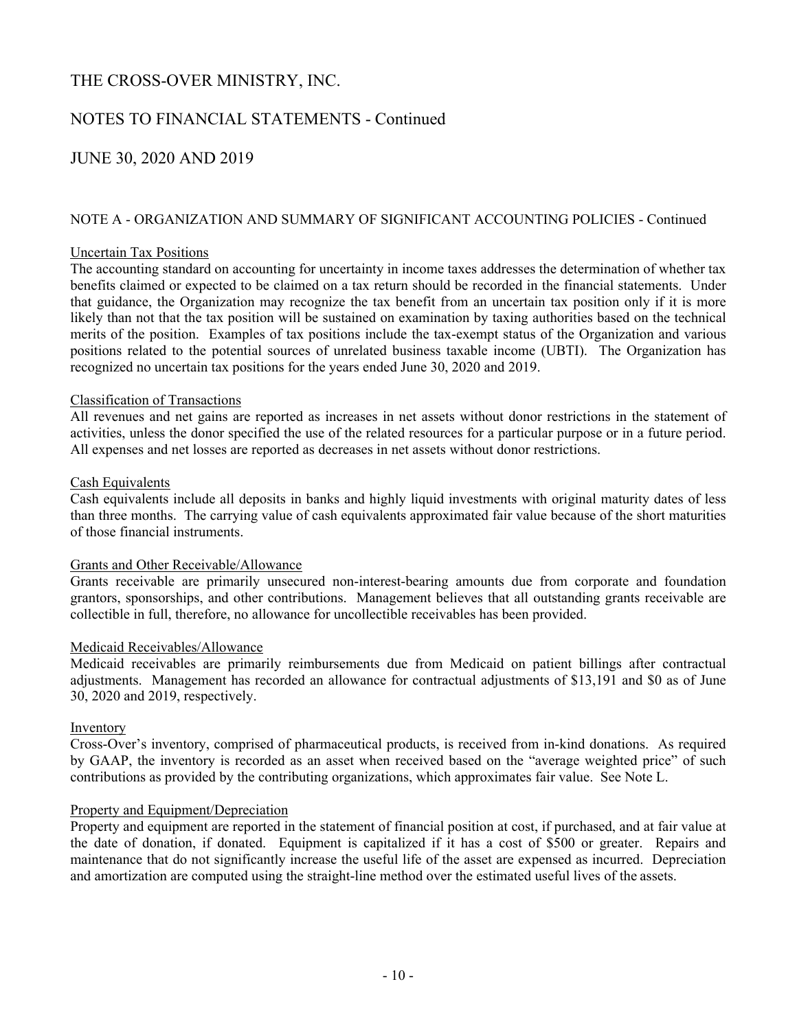## NOTES TO FINANCIAL STATEMENTS - Continued

### JUNE 30, 2020 AND 2019

### NOTE A - ORGANIZATION AND SUMMARY OF SIGNIFICANT ACCOUNTING POLICIES - Continued

### Uncertain Tax Positions

The accounting standard on accounting for uncertainty in income taxes addresses the determination of whether tax benefits claimed or expected to be claimed on a tax return should be recorded in the financial statements. Under that guidance, the Organization may recognize the tax benefit from an uncertain tax position only if it is more likely than not that the tax position will be sustained on examination by taxing authorities based on the technical merits of the position. Examples of tax positions include the tax-exempt status of the Organization and various positions related to the potential sources of unrelated business taxable income (UBTI). The Organization has recognized no uncertain tax positions for the years ended June 30, 2020 and 2019.

### Classification of Transactions

All revenues and net gains are reported as increases in net assets without donor restrictions in the statement of activities, unless the donor specified the use of the related resources for a particular purpose or in a future period. All expenses and net losses are reported as decreases in net assets without donor restrictions.

#### Cash Equivalents

Cash equivalents include all deposits in banks and highly liquid investments with original maturity dates of less than three months. The carrying value of cash equivalents approximated fair value because of the short maturities of those financial instruments.

#### Grants and Other Receivable/Allowance

Grants receivable are primarily unsecured non-interest-bearing amounts due from corporate and foundation grantors, sponsorships, and other contributions. Management believes that all outstanding grants receivable are collectible in full, therefore, no allowance for uncollectible receivables has been provided.

### Medicaid Receivables/Allowance

Medicaid receivables are primarily reimbursements due from Medicaid on patient billings after contractual adjustments. Management has recorded an allowance for contractual adjustments of \$13,191 and \$0 as of June 30, 2020 and 2019, respectively.

#### Inventory

Cross‐Over's inventory, comprised of pharmaceutical products, is received from in‐kind donations. As required by GAAP, the inventory is recorded as an asset when received based on the "average weighted price" of such contributions as provided by the contributing organizations, which approximates fair value. See Note L.

### Property and Equipment/Depreciation

Property and equipment are reported in the statement of financial position at cost, if purchased, and at fair value at the date of donation, if donated. Equipment is capitalized if it has a cost of \$500 or greater. Repairs and maintenance that do not significantly increase the useful life of the asset are expensed as incurred. Depreciation and amortization are computed using the straight-line method over the estimated useful lives of the assets.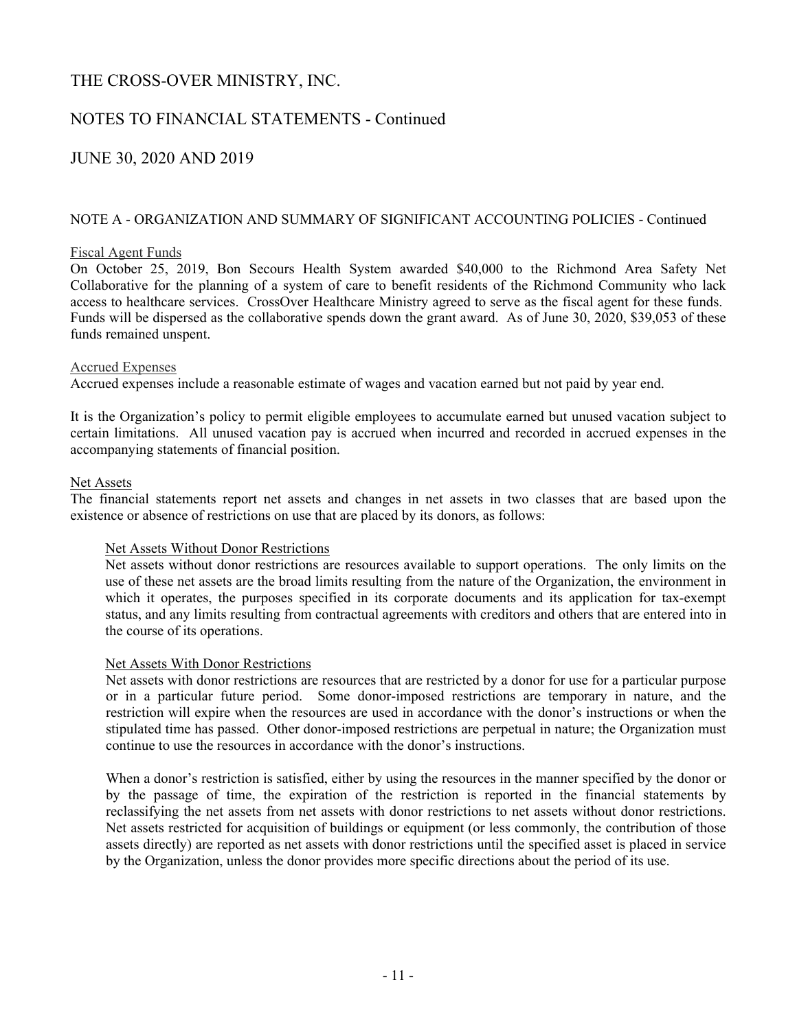### NOTES TO FINANCIAL STATEMENTS - Continued

### JUNE 30, 2020 AND 2019

### NOTE A - ORGANIZATION AND SUMMARY OF SIGNIFICANT ACCOUNTING POLICIES - Continued

#### Fiscal Agent Funds

On October 25, 2019, Bon Secours Health System awarded \$40,000 to the Richmond Area Safety Net Collaborative for the planning of a system of care to benefit residents of the Richmond Community who lack access to healthcare services. CrossOver Healthcare Ministry agreed to serve as the fiscal agent for these funds. Funds will be dispersed as the collaborative spends down the grant award. As of June 30, 2020, \$39,053 of these funds remained unspent.

#### Accrued Expenses

Accrued expenses include a reasonable estimate of wages and vacation earned but not paid by year end.

It is the Organization's policy to permit eligible employees to accumulate earned but unused vacation subject to certain limitations. All unused vacation pay is accrued when incurred and recorded in accrued expenses in the accompanying statements of financial position.

#### Net Assets

The financial statements report net assets and changes in net assets in two classes that are based upon the existence or absence of restrictions on use that are placed by its donors, as follows:

#### Net Assets Without Donor Restrictions

Net assets without donor restrictions are resources available to support operations. The only limits on the use of these net assets are the broad limits resulting from the nature of the Organization, the environment in which it operates, the purposes specified in its corporate documents and its application for tax-exempt status, and any limits resulting from contractual agreements with creditors and others that are entered into in the course of its operations.

#### Net Assets With Donor Restrictions

Net assets with donor restrictions are resources that are restricted by a donor for use for a particular purpose or in a particular future period. Some donor-imposed restrictions are temporary in nature, and the restriction will expire when the resources are used in accordance with the donor's instructions or when the stipulated time has passed. Other donor-imposed restrictions are perpetual in nature; the Organization must continue to use the resources in accordance with the donor's instructions.

When a donor's restriction is satisfied, either by using the resources in the manner specified by the donor or by the passage of time, the expiration of the restriction is reported in the financial statements by reclassifying the net assets from net assets with donor restrictions to net assets without donor restrictions. Net assets restricted for acquisition of buildings or equipment (or less commonly, the contribution of those assets directly) are reported as net assets with donor restrictions until the specified asset is placed in service by the Organization, unless the donor provides more specific directions about the period of its use.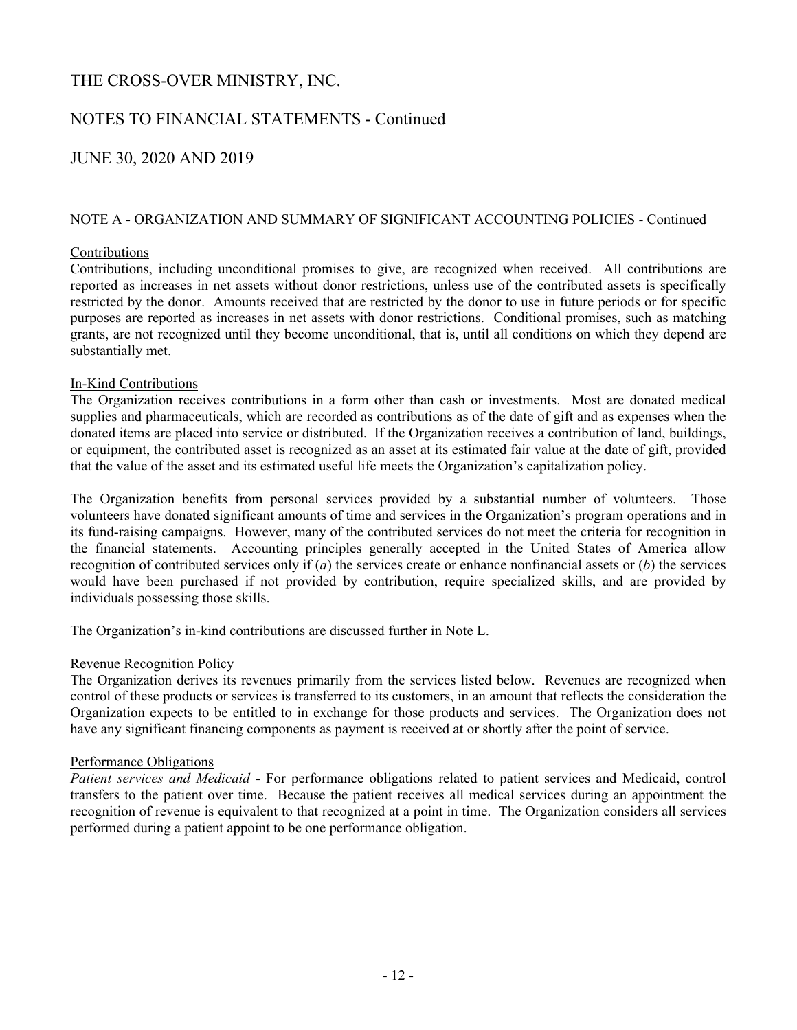## NOTES TO FINANCIAL STATEMENTS - Continued

JUNE 30, 2020 AND 2019

### NOTE A - ORGANIZATION AND SUMMARY OF SIGNIFICANT ACCOUNTING POLICIES - Continued

### Contributions

Contributions, including unconditional promises to give, are recognized when received. All contributions are reported as increases in net assets without donor restrictions, unless use of the contributed assets is specifically restricted by the donor. Amounts received that are restricted by the donor to use in future periods or for specific purposes are reported as increases in net assets with donor restrictions. Conditional promises, such as matching grants, are not recognized until they become unconditional, that is, until all conditions on which they depend are substantially met.

### In-Kind Contributions

The Organization receives contributions in a form other than cash or investments. Most are donated medical supplies and pharmaceuticals, which are recorded as contributions as of the date of gift and as expenses when the donated items are placed into service or distributed. If the Organization receives a contribution of land, buildings, or equipment, the contributed asset is recognized as an asset at its estimated fair value at the date of gift, provided that the value of the asset and its estimated useful life meets the Organization's capitalization policy.

The Organization benefits from personal services provided by a substantial number of volunteers. Those volunteers have donated significant amounts of time and services in the Organization's program operations and in its fund-raising campaigns. However, many of the contributed services do not meet the criteria for recognition in the financial statements. Accounting principles generally accepted in the United States of America allow recognition of contributed services only if (*a*) the services create or enhance nonfinancial assets or (*b*) the services would have been purchased if not provided by contribution, require specialized skills, and are provided by individuals possessing those skills.

The Organization's in-kind contributions are discussed further in Note L.

### Revenue Recognition Policy

The Organization derives its revenues primarily from the services listed below. Revenues are recognized when control of these products or services is transferred to its customers, in an amount that reflects the consideration the Organization expects to be entitled to in exchange for those products and services. The Organization does not have any significant financing components as payment is received at or shortly after the point of service.

### Performance Obligations

*Patient services and Medicaid* - For performance obligations related to patient services and Medicaid, control transfers to the patient over time. Because the patient receives all medical services during an appointment the recognition of revenue is equivalent to that recognized at a point in time. The Organization considers all services performed during a patient appoint to be one performance obligation.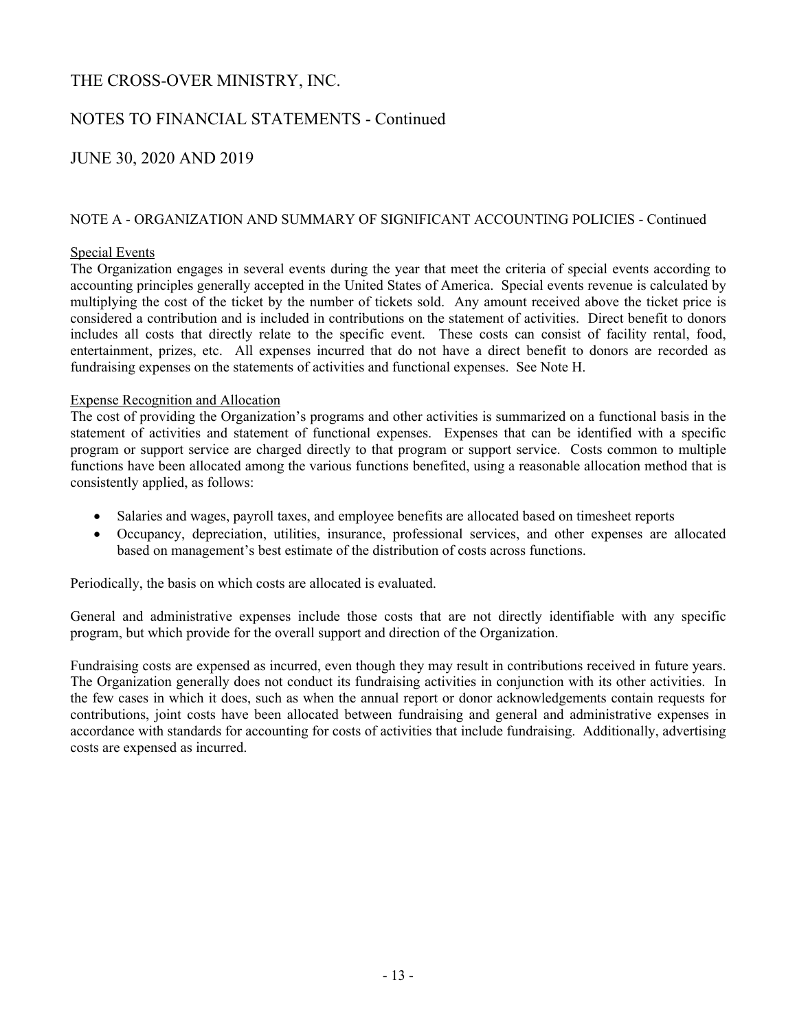## NOTES TO FINANCIAL STATEMENTS - Continued

## JUNE 30, 2020 AND 2019

### NOTE A - ORGANIZATION AND SUMMARY OF SIGNIFICANT ACCOUNTING POLICIES - Continued

### Special Events

The Organization engages in several events during the year that meet the criteria of special events according to accounting principles generally accepted in the United States of America. Special events revenue is calculated by multiplying the cost of the ticket by the number of tickets sold. Any amount received above the ticket price is considered a contribution and is included in contributions on the statement of activities. Direct benefit to donors includes all costs that directly relate to the specific event. These costs can consist of facility rental, food, entertainment, prizes, etc. All expenses incurred that do not have a direct benefit to donors are recorded as fundraising expenses on the statements of activities and functional expenses. See Note H.

### Expense Recognition and Allocation

The cost of providing the Organization's programs and other activities is summarized on a functional basis in the statement of activities and statement of functional expenses. Expenses that can be identified with a specific program or support service are charged directly to that program or support service. Costs common to multiple functions have been allocated among the various functions benefited, using a reasonable allocation method that is consistently applied, as follows:

- Salaries and wages, payroll taxes, and employee benefits are allocated based on timesheet reports
- Occupancy, depreciation, utilities, insurance, professional services, and other expenses are allocated based on management's best estimate of the distribution of costs across functions.

Periodically, the basis on which costs are allocated is evaluated.

General and administrative expenses include those costs that are not directly identifiable with any specific program, but which provide for the overall support and direction of the Organization.

Fundraising costs are expensed as incurred, even though they may result in contributions received in future years. The Organization generally does not conduct its fundraising activities in conjunction with its other activities. In the few cases in which it does, such as when the annual report or donor acknowledgements contain requests for contributions, joint costs have been allocated between fundraising and general and administrative expenses in accordance with standards for accounting for costs of activities that include fundraising. Additionally, advertising costs are expensed as incurred.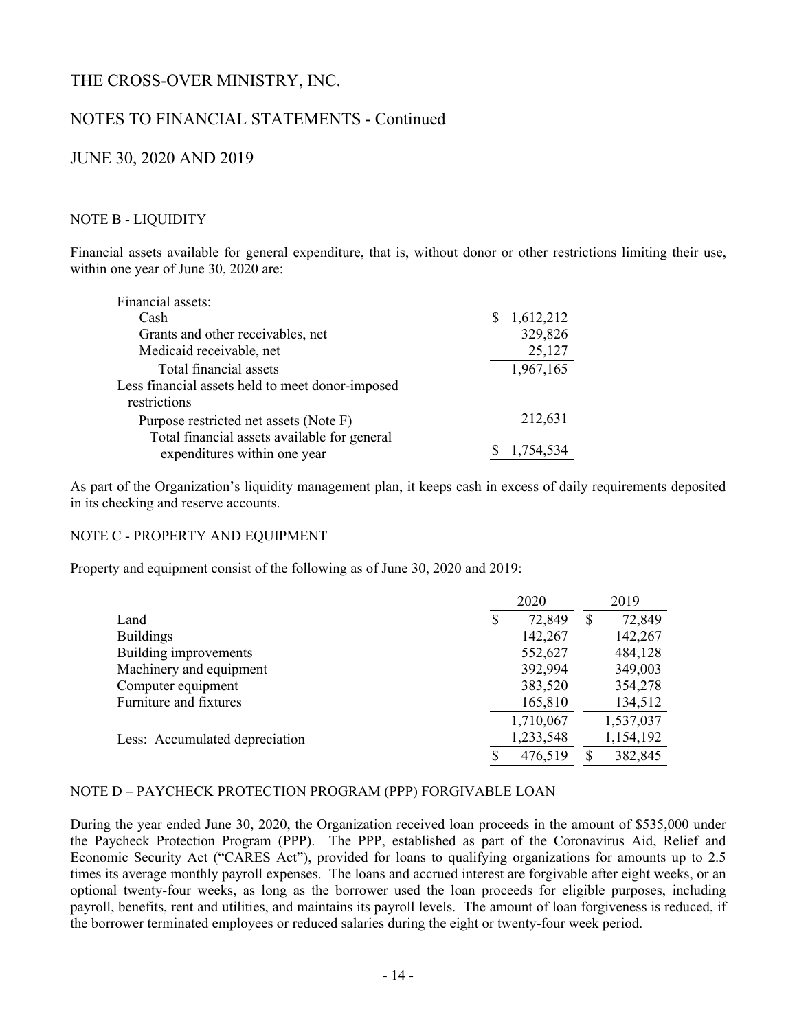### NOTES TO FINANCIAL STATEMENTS - Continued

### JUNE 30, 2020 AND 2019

### NOTE B - LIQUIDITY

Financial assets available for general expenditure, that is, without donor or other restrictions limiting their use, within one year of June 30, 2020 are:

| Financial assets:                                |                |
|--------------------------------------------------|----------------|
| Cash                                             | 1,612,212<br>S |
| Grants and other receivables, net                | 329,826        |
| Medicaid receivable, net                         | 25,127         |
| Total financial assets                           | 1,967,165      |
| Less financial assets held to meet donor-imposed |                |
| restrictions                                     |                |
| Purpose restricted net assets (Note F)           | 212,631        |
| Total financial assets available for general     |                |
| expenditures within one year                     | 1,754,534      |

As part of the Organization's liquidity management plan, it keeps cash in excess of daily requirements deposited in its checking and reserve accounts.

### NOTE C - PROPERTY AND EQUIPMENT

Property and equipment consist of the following as of June 30, 2020 and 2019:

|                                | 2020      |   | 2019      |
|--------------------------------|-----------|---|-----------|
| Land                           | 72,849    | S | 72,849    |
| <b>Buildings</b>               | 142,267   |   | 142,267   |
| Building improvements          | 552,627   |   | 484,128   |
| Machinery and equipment        | 392,994   |   | 349,003   |
| Computer equipment             | 383,520   |   | 354,278   |
| Furniture and fixtures         | 165,810   |   | 134,512   |
|                                | 1,710,067 |   | 1,537,037 |
| Less: Accumulated depreciation | 1,233,548 |   | 1,154,192 |
|                                | 476,519   | S | 382,845   |

### NOTE D – PAYCHECK PROTECTION PROGRAM (PPP) FORGIVABLE LOAN

During the year ended June 30, 2020, the Organization received loan proceeds in the amount of \$535,000 under the Paycheck Protection Program (PPP). The PPP, established as part of the Coronavirus Aid, Relief and Economic Security Act ("CARES Act"), provided for loans to qualifying organizations for amounts up to 2.5 times its average monthly payroll expenses. The loans and accrued interest are forgivable after eight weeks, or an optional twenty-four weeks, as long as the borrower used the loan proceeds for eligible purposes, including payroll, benefits, rent and utilities, and maintains its payroll levels. The amount of loan forgiveness is reduced, if the borrower terminated employees or reduced salaries during the eight or twenty-four week period.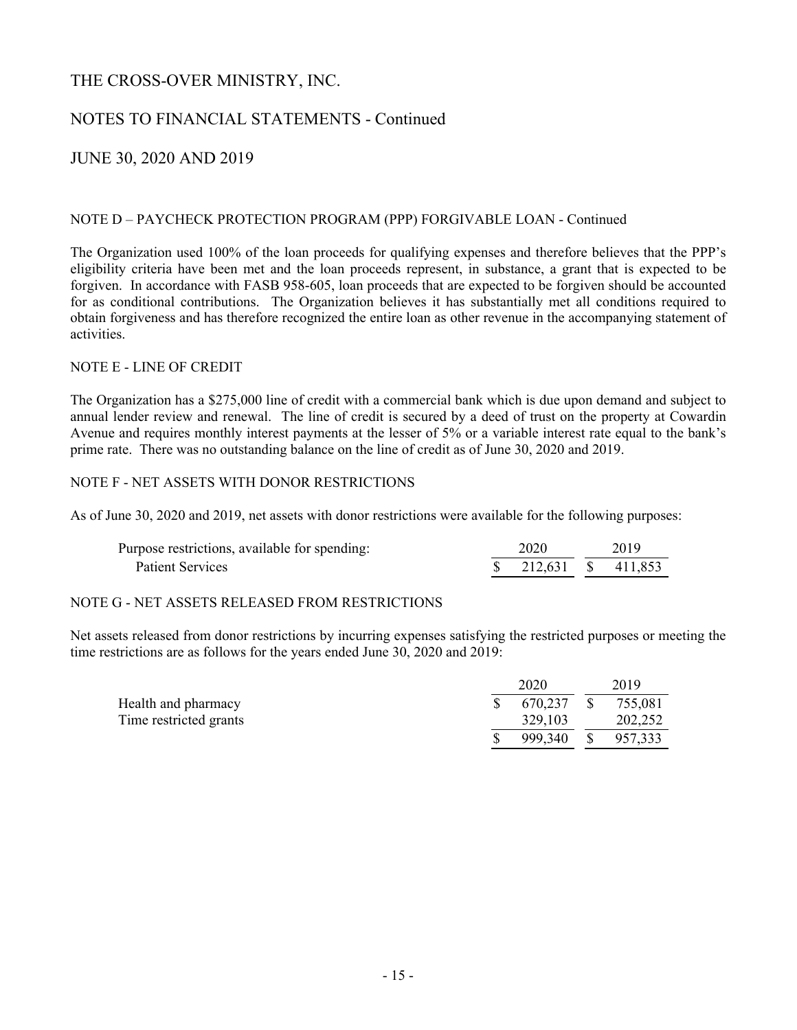## NOTES TO FINANCIAL STATEMENTS - Continued

### JUNE 30, 2020 AND 2019

### NOTE D – PAYCHECK PROTECTION PROGRAM (PPP) FORGIVABLE LOAN - Continued

The Organization used 100% of the loan proceeds for qualifying expenses and therefore believes that the PPP's eligibility criteria have been met and the loan proceeds represent, in substance, a grant that is expected to be forgiven. In accordance with FASB 958-605, loan proceeds that are expected to be forgiven should be accounted for as conditional contributions. The Organization believes it has substantially met all conditions required to obtain forgiveness and has therefore recognized the entire loan as other revenue in the accompanying statement of activities.

### NOTE E - LINE OF CREDIT

The Organization has a \$275,000 line of credit with a commercial bank which is due upon demand and subject to annual lender review and renewal. The line of credit is secured by a deed of trust on the property at Cowardin Avenue and requires monthly interest payments at the lesser of 5% or a variable interest rate equal to the bank's prime rate. There was no outstanding balance on the line of credit as of June 30, 2020 and 2019.

### NOTE F - NET ASSETS WITH DONOR RESTRICTIONS

As of June 30, 2020 and 2019, net assets with donor restrictions were available for the following purposes:

| Purpose restrictions, available for spending: | 2020 |                                   | 2019 |  |
|-----------------------------------------------|------|-----------------------------------|------|--|
| Patient Services                              |      | $\frac{12.631}{1.853}$ \$ 411,853 |      |  |

### NOTE G - NET ASSETS RELEASED FROM RESTRICTIONS

Net assets released from donor restrictions by incurring expenses satisfying the restricted purposes or meeting the time restrictions are as follows for the years ended June 30, 2020 and 2019:

|                        | 2020       | 2019    |
|------------------------|------------|---------|
| Health and pharmacy    | 670,237 \$ | 755,081 |
| Time restricted grants | 329,103    | 202,252 |
|                        | 999,340 \$ | 957,333 |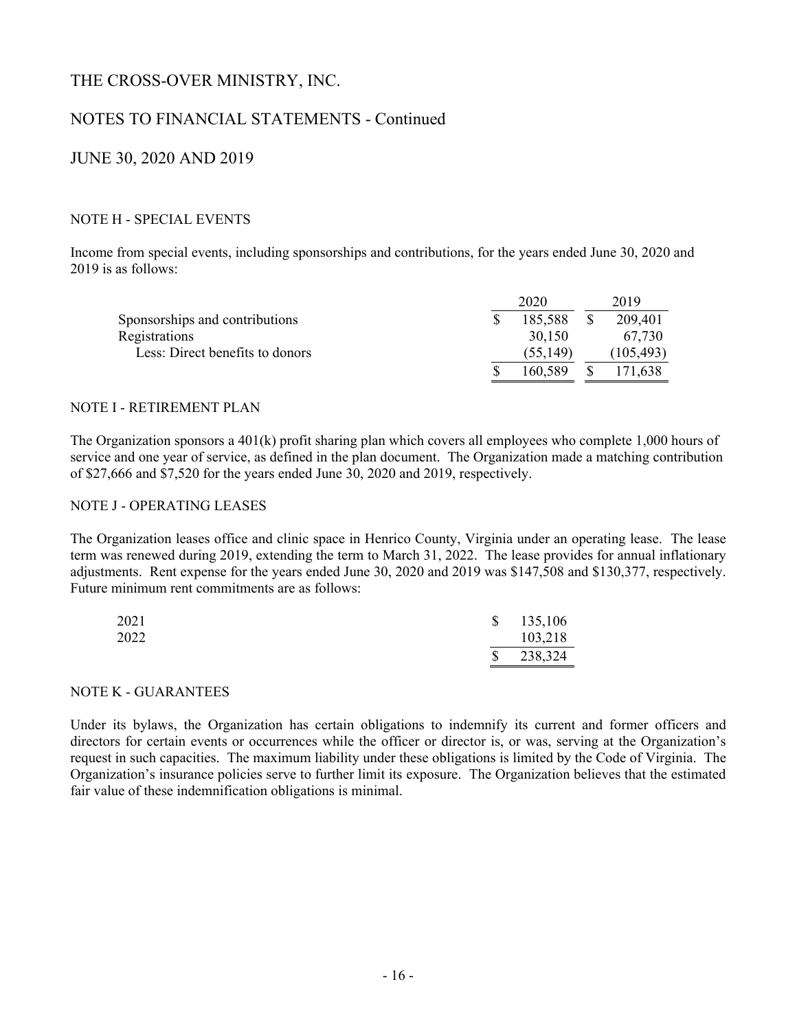### NOTES TO FINANCIAL STATEMENTS - Continued

### JUNE 30, 2020 AND 2019

### NOTE H - SPECIAL EVENTS

Income from special events, including sponsorships and contributions, for the years ended June 30, 2020 and 2019 is as follows:

|                                 | 2020      | 2019       |
|---------------------------------|-----------|------------|
| Sponsorships and contributions  | 185,588   | 209,401    |
| Registrations                   | 30,150    | 67,730     |
| Less: Direct benefits to donors | (55, 149) | (105, 493) |
|                                 | 160.589   | 171.638    |

### NOTE I - RETIREMENT PLAN

The Organization sponsors a 401(k) profit sharing plan which covers all employees who complete 1,000 hours of service and one year of service, as defined in the plan document. The Organization made a matching contribution of \$27,666 and \$7,520 for the years ended June 30, 2020 and 2019, respectively.

#### NOTE J - OPERATING LEASES

The Organization leases office and clinic space in Henrico County, Virginia under an operating lease. The lease term was renewed during 2019, extending the term to March 31, 2022. The lease provides for annual inflationary adjustments. Rent expense for the years ended June 30, 2020 and 2019 was \$147,508 and \$130,377, respectively. Future minimum rent commitments are as follows:

| 2021 | \$135,106            |
|------|----------------------|
| 2022 | 103,218              |
|      | $\frac{\$}{238,324}$ |

#### NOTE K - GUARANTEES

Under its bylaws, the Organization has certain obligations to indemnify its current and former officers and directors for certain events or occurrences while the officer or director is, or was, serving at the Organization's request in such capacities. The maximum liability under these obligations is limited by the Code of Virginia. The Organization's insurance policies serve to further limit its exposure. The Organization believes that the estimated fair value of these indemnification obligations is minimal.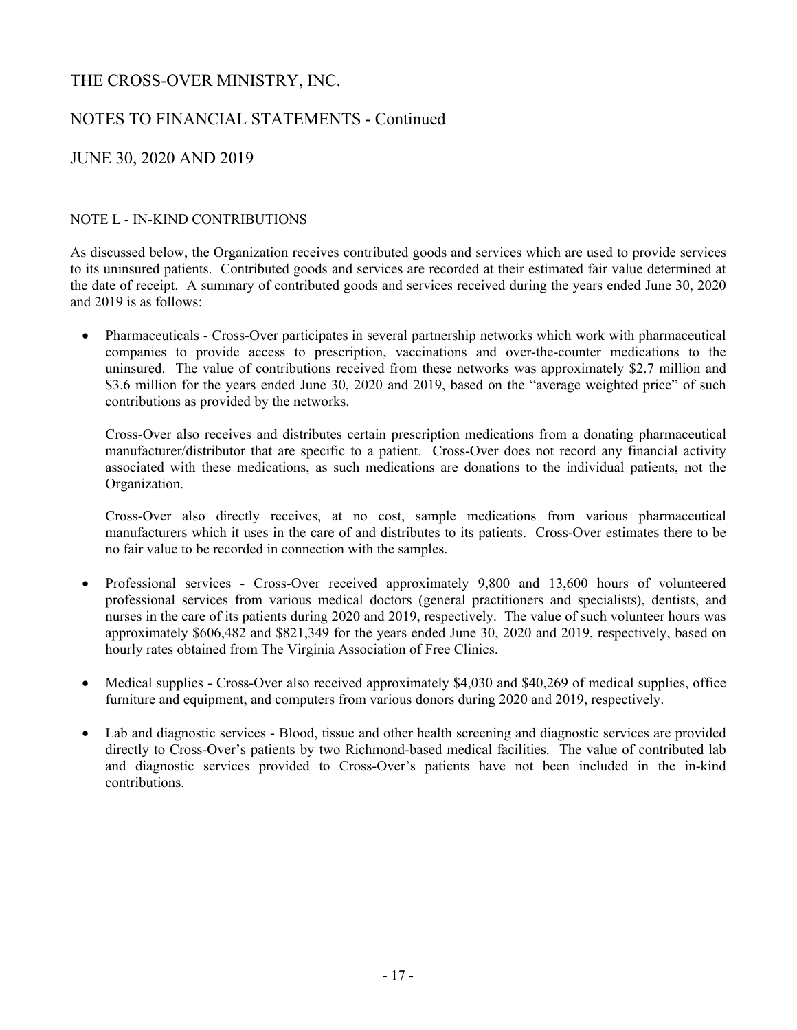## NOTES TO FINANCIAL STATEMENTS - Continued

## JUNE 30, 2020 AND 2019

### NOTE L - IN-KIND CONTRIBUTIONS

As discussed below, the Organization receives contributed goods and services which are used to provide services to its uninsured patients. Contributed goods and services are recorded at their estimated fair value determined at the date of receipt. A summary of contributed goods and services received during the years ended June 30, 2020 and 2019 is as follows:

 Pharmaceuticals - Cross-Over participates in several partnership networks which work with pharmaceutical companies to provide access to prescription, vaccinations and over‐the‐counter medications to the uninsured. The value of contributions received from these networks was approximately \$2.7 million and \$3.6 million for the years ended June 30, 2020 and 2019, based on the "average weighted price" of such contributions as provided by the networks.

Cross-Over also receives and distributes certain prescription medications from a donating pharmaceutical manufacturer/distributor that are specific to a patient. Cross‐Over does not record any financial activity associated with these medications, as such medications are donations to the individual patients, not the Organization.

Cross‐Over also directly receives, at no cost, sample medications from various pharmaceutical manufacturers which it uses in the care of and distributes to its patients. Cross‐Over estimates there to be no fair value to be recorded in connection with the samples.

- Professional services Cross-Over received approximately 9,800 and 13,600 hours of volunteered professional services from various medical doctors (general practitioners and specialists), dentists, and nurses in the care of its patients during 2020 and 2019, respectively. The value of such volunteer hours was approximately \$606,482 and \$821,349 for the years ended June 30, 2020 and 2019, respectively, based on hourly rates obtained from The Virginia Association of Free Clinics.
- Medical supplies Cross-Over also received approximately \$4,030 and \$40,269 of medical supplies, office furniture and equipment, and computers from various donors during 2020 and 2019, respectively.
- Lab and diagnostic services Blood, tissue and other health screening and diagnostic services are provided directly to Cross‐Over's patients by two Richmond‐based medical facilities. The value of contributed lab and diagnostic services provided to Cross‐Over's patients have not been included in the in‐kind contributions.